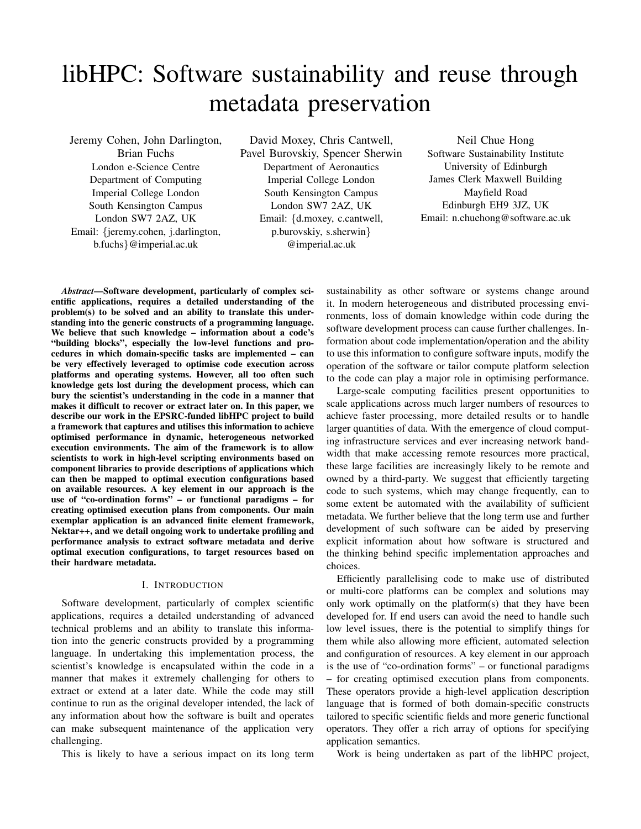# libHPC: Software sustainability and reuse through metadata preservation

Jeremy Cohen, John Darlington, Brian Fuchs London e-Science Centre Department of Computing Imperial College London South Kensington Campus London SW7 2AZ, UK Email: {jeremy.cohen, j.darlington, b.fuchs}@imperial.ac.uk

David Moxey, Chris Cantwell, Pavel Burovskiy, Spencer Sherwin Department of Aeronautics Imperial College London South Kensington Campus London SW7 2AZ, UK Email: {d.moxey, c.cantwell, p.burovskiy, s.sherwin} @imperial.ac.uk

Neil Chue Hong Software Sustainability Institute University of Edinburgh James Clerk Maxwell Building Mayfield Road Edinburgh EH9 3JZ, UK Email: n.chuehong@software.ac.uk

*Abstract*—Software development, particularly of complex scientific applications, requires a detailed understanding of the problem(s) to be solved and an ability to translate this understanding into the generic constructs of a programming language. We believe that such knowledge – information about a code's "building blocks", especially the low-level functions and procedures in which domain-specific tasks are implemented – can be very effectively leveraged to optimise code execution across platforms and operating systems. However, all too often such knowledge gets lost during the development process, which can bury the scientist's understanding in the code in a manner that makes it difficult to recover or extract later on. In this paper, we describe our work in the EPSRC-funded libHPC project to build a framework that captures and utilises this information to achieve optimised performance in dynamic, heterogeneous networked execution environments. The aim of the framework is to allow scientists to work in high-level scripting environments based on component libraries to provide descriptions of applications which can then be mapped to optimal execution configurations based on available resources. A key element in our approach is the use of "co-ordination forms" – or functional paradigms – for creating optimised execution plans from components. Our main exemplar application is an advanced finite element framework, Nektar++, and we detail ongoing work to undertake profiling and performance analysis to extract software metadata and derive optimal execution configurations, to target resources based on their hardware metadata.

## I. INTRODUCTION

Software development, particularly of complex scientific applications, requires a detailed understanding of advanced technical problems and an ability to translate this information into the generic constructs provided by a programming language. In undertaking this implementation process, the scientist's knowledge is encapsulated within the code in a manner that makes it extremely challenging for others to extract or extend at a later date. While the code may still continue to run as the original developer intended, the lack of any information about how the software is built and operates can make subsequent maintenance of the application very challenging.

This is likely to have a serious impact on its long term

sustainability as other software or systems change around it. In modern heterogeneous and distributed processing environments, loss of domain knowledge within code during the software development process can cause further challenges. Information about code implementation/operation and the ability to use this information to configure software inputs, modify the operation of the software or tailor compute platform selection to the code can play a major role in optimising performance.

Large-scale computing facilities present opportunities to scale applications across much larger numbers of resources to achieve faster processing, more detailed results or to handle larger quantities of data. With the emergence of cloud computing infrastructure services and ever increasing network bandwidth that make accessing remote resources more practical, these large facilities are increasingly likely to be remote and owned by a third-party. We suggest that efficiently targeting code to such systems, which may change frequently, can to some extent be automated with the availability of sufficient metadata. We further believe that the long term use and further development of such software can be aided by preserving explicit information about how software is structured and the thinking behind specific implementation approaches and choices.

Efficiently parallelising code to make use of distributed or multi-core platforms can be complex and solutions may only work optimally on the platform(s) that they have been developed for. If end users can avoid the need to handle such low level issues, there is the potential to simplify things for them while also allowing more efficient, automated selection and configuration of resources. A key element in our approach is the use of "co-ordination forms" – or functional paradigms – for creating optimised execution plans from components. These operators provide a high-level application description language that is formed of both domain-specific constructs tailored to specific scientific fields and more generic functional operators. They offer a rich array of options for specifying application semantics.

Work is being undertaken as part of the libHPC project,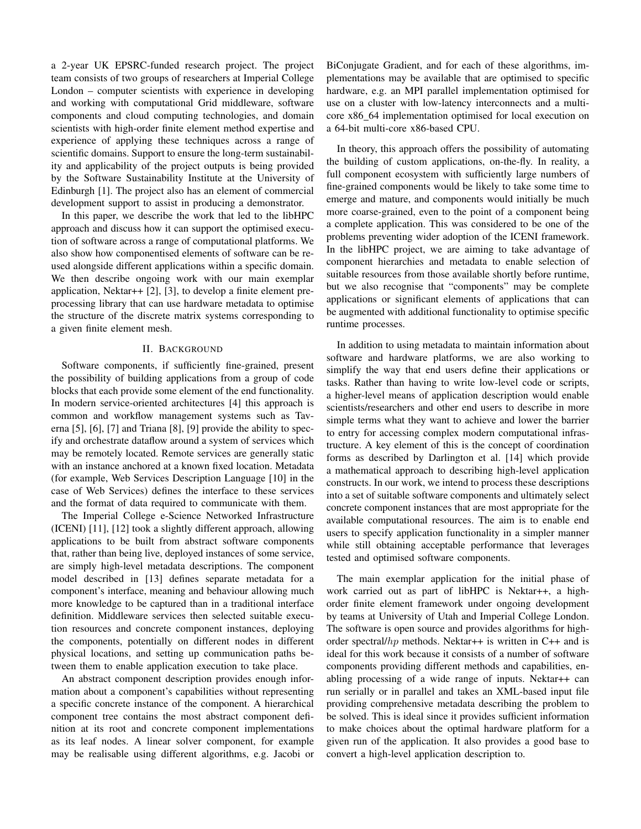a 2-year UK EPSRC-funded research project. The project team consists of two groups of researchers at Imperial College London – computer scientists with experience in developing and working with computational Grid middleware, software components and cloud computing technologies, and domain scientists with high-order finite element method expertise and experience of applying these techniques across a range of scientific domains. Support to ensure the long-term sustainability and applicability of the project outputs is being provided by the Software Sustainability Institute at the University of Edinburgh [1]. The project also has an element of commercial development support to assist in producing a demonstrator.

In this paper, we describe the work that led to the libHPC approach and discuss how it can support the optimised execution of software across a range of computational platforms. We also show how componentised elements of software can be reused alongside different applications within a specific domain. We then describe ongoing work with our main exemplar application, Nektar++ [2], [3], to develop a finite element preprocessing library that can use hardware metadata to optimise the structure of the discrete matrix systems corresponding to a given finite element mesh.

#### II. BACKGROUND

Software components, if sufficiently fine-grained, present the possibility of building applications from a group of code blocks that each provide some element of the end functionality. In modern service-oriented architectures [4] this approach is common and workflow management systems such as Taverna [5], [6], [7] and Triana [8], [9] provide the ability to specify and orchestrate dataflow around a system of services which may be remotely located. Remote services are generally static with an instance anchored at a known fixed location. Metadata (for example, Web Services Description Language [10] in the case of Web Services) defines the interface to these services and the format of data required to communicate with them.

The Imperial College e-Science Networked Infrastructure (ICENI) [11], [12] took a slightly different approach, allowing applications to be built from abstract software components that, rather than being live, deployed instances of some service, are simply high-level metadata descriptions. The component model described in [13] defines separate metadata for a component's interface, meaning and behaviour allowing much more knowledge to be captured than in a traditional interface definition. Middleware services then selected suitable execution resources and concrete component instances, deploying the components, potentially on different nodes in different physical locations, and setting up communication paths between them to enable application execution to take place.

An abstract component description provides enough information about a component's capabilities without representing a specific concrete instance of the component. A hierarchical component tree contains the most abstract component definition at its root and concrete component implementations as its leaf nodes. A linear solver component, for example may be realisable using different algorithms, e.g. Jacobi or BiConjugate Gradient, and for each of these algorithms, implementations may be available that are optimised to specific hardware, e.g. an MPI parallel implementation optimised for use on a cluster with low-latency interconnects and a multicore x86 64 implementation optimised for local execution on a 64-bit multi-core x86-based CPU.

In theory, this approach offers the possibility of automating the building of custom applications, on-the-fly. In reality, a full component ecosystem with sufficiently large numbers of fine-grained components would be likely to take some time to emerge and mature, and components would initially be much more coarse-grained, even to the point of a component being a complete application. This was considered to be one of the problems preventing wider adoption of the ICENI framework. In the libHPC project, we are aiming to take advantage of component hierarchies and metadata to enable selection of suitable resources from those available shortly before runtime, but we also recognise that "components" may be complete applications or significant elements of applications that can be augmented with additional functionality to optimise specific runtime processes.

In addition to using metadata to maintain information about software and hardware platforms, we are also working to simplify the way that end users define their applications or tasks. Rather than having to write low-level code or scripts, a higher-level means of application description would enable scientists/researchers and other end users to describe in more simple terms what they want to achieve and lower the barrier to entry for accessing complex modern computational infrastructure. A key element of this is the concept of coordination forms as described by Darlington et al. [14] which provide a mathematical approach to describing high-level application constructs. In our work, we intend to process these descriptions into a set of suitable software components and ultimately select concrete component instances that are most appropriate for the available computational resources. The aim is to enable end users to specify application functionality in a simpler manner while still obtaining acceptable performance that leverages tested and optimised software components.

The main exemplar application for the initial phase of work carried out as part of libHPC is Nektar++, a highorder finite element framework under ongoing development by teams at University of Utah and Imperial College London. The software is open source and provides algorithms for highorder spectral/h<sub>p</sub> methods. Nektar++ is written in C++ and is ideal for this work because it consists of a number of software components providing different methods and capabilities, enabling processing of a wide range of inputs. Nektar++ can run serially or in parallel and takes an XML-based input file providing comprehensive metadata describing the problem to be solved. This is ideal since it provides sufficient information to make choices about the optimal hardware platform for a given run of the application. It also provides a good base to convert a high-level application description to.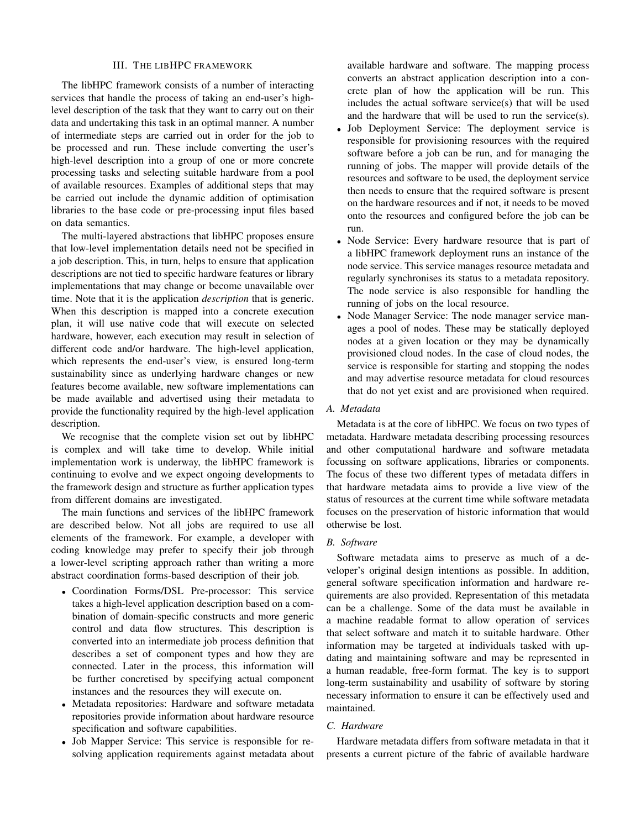#### III. THE LIBHPC FRAMEWORK

The libHPC framework consists of a number of interacting services that handle the process of taking an end-user's highlevel description of the task that they want to carry out on their data and undertaking this task in an optimal manner. A number of intermediate steps are carried out in order for the job to be processed and run. These include converting the user's high-level description into a group of one or more concrete processing tasks and selecting suitable hardware from a pool of available resources. Examples of additional steps that may be carried out include the dynamic addition of optimisation libraries to the base code or pre-processing input files based on data semantics.

The multi-layered abstractions that libHPC proposes ensure that low-level implementation details need not be specified in a job description. This, in turn, helps to ensure that application descriptions are not tied to specific hardware features or library implementations that may change or become unavailable over time. Note that it is the application *description* that is generic. When this description is mapped into a concrete execution plan, it will use native code that will execute on selected hardware, however, each execution may result in selection of different code and/or hardware. The high-level application, which represents the end-user's view, is ensured long-term sustainability since as underlying hardware changes or new features become available, new software implementations can be made available and advertised using their metadata to provide the functionality required by the high-level application description.

We recognise that the complete vision set out by libHPC is complex and will take time to develop. While initial implementation work is underway, the libHPC framework is continuing to evolve and we expect ongoing developments to the framework design and structure as further application types from different domains are investigated.

The main functions and services of the libHPC framework are described below. Not all jobs are required to use all elements of the framework. For example, a developer with coding knowledge may prefer to specify their job through a lower-level scripting approach rather than writing a more abstract coordination forms-based description of their job.

- Coordination Forms/DSL Pre-processor: This service takes a high-level application description based on a combination of domain-specific constructs and more generic control and data flow structures. This description is converted into an intermediate job process definition that describes a set of component types and how they are connected. Later in the process, this information will be further concretised by specifying actual component instances and the resources they will execute on.
- Metadata repositories: Hardware and software metadata repositories provide information about hardware resource specification and software capabilities.
- Job Mapper Service: This service is responsible for resolving application requirements against metadata about

available hardware and software. The mapping process converts an abstract application description into a concrete plan of how the application will be run. This includes the actual software service(s) that will be used and the hardware that will be used to run the service(s).

- Job Deployment Service: The deployment service is responsible for provisioning resources with the required software before a job can be run, and for managing the running of jobs. The mapper will provide details of the resources and software to be used, the deployment service then needs to ensure that the required software is present on the hardware resources and if not, it needs to be moved onto the resources and configured before the job can be run.
- Node Service: Every hardware resource that is part of a libHPC framework deployment runs an instance of the node service. This service manages resource metadata and regularly synchronises its status to a metadata repository. The node service is also responsible for handling the running of jobs on the local resource.
- Node Manager Service: The node manager service manages a pool of nodes. These may be statically deployed nodes at a given location or they may be dynamically provisioned cloud nodes. In the case of cloud nodes, the service is responsible for starting and stopping the nodes and may advertise resource metadata for cloud resources that do not yet exist and are provisioned when required.

## *A. Metadata*

Metadata is at the core of libHPC. We focus on two types of metadata. Hardware metadata describing processing resources and other computational hardware and software metadata focussing on software applications, libraries or components. The focus of these two different types of metadata differs in that hardware metadata aims to provide a live view of the status of resources at the current time while software metadata focuses on the preservation of historic information that would otherwise be lost.

## *B. Software*

Software metadata aims to preserve as much of a developer's original design intentions as possible. In addition, general software specification information and hardware requirements are also provided. Representation of this metadata can be a challenge. Some of the data must be available in a machine readable format to allow operation of services that select software and match it to suitable hardware. Other information may be targeted at individuals tasked with updating and maintaining software and may be represented in a human readable, free-form format. The key is to support long-term sustainability and usability of software by storing necessary information to ensure it can be effectively used and maintained.

# *C. Hardware*

Hardware metadata differs from software metadata in that it presents a current picture of the fabric of available hardware